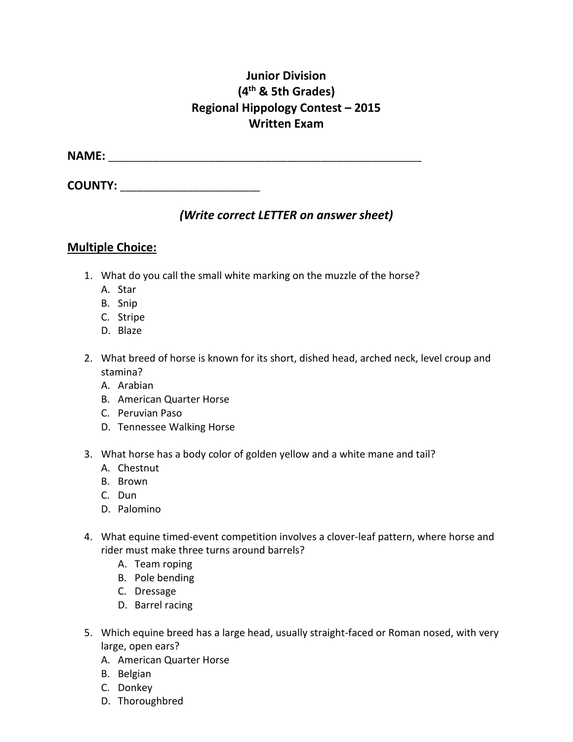## **Junior Division (4th & 5th Grades) Regional Hippology Contest – 2015 Written Exam**

**NAME:** \_\_\_\_\_\_\_\_\_\_\_\_\_\_\_\_\_\_\_\_\_\_\_\_\_\_\_\_\_\_\_\_\_\_\_\_\_\_\_\_\_\_\_\_\_\_\_\_\_\_\_\_\_\_\_\_

**COUNTY:** \_\_\_\_\_\_\_\_\_\_\_\_\_\_\_\_\_\_\_\_\_\_\_\_\_

## *(Write correct LETTER on answer sheet)*

## **Multiple Choice:**

- 1. What do you call the small white marking on the muzzle of the horse?
	- A. Star
	- B. Snip
	- C. Stripe
	- D. Blaze
- 2. What breed of horse is known for its short, dished head, arched neck, level croup and stamina?
	- A. Arabian
	- B. American Quarter Horse
	- C. Peruvian Paso
	- D. Tennessee Walking Horse
- 3. What horse has a body color of golden yellow and a white mane and tail?
	- A. Chestnut
	- B. Brown
	- C. Dun
	- D. Palomino
- 4. What equine timed-event competition involves a clover-leaf pattern, where horse and rider must make three turns around barrels?
	- A. Team roping
	- B. Pole bending
	- C. Dressage
	- D. Barrel racing
- 5. Which equine breed has a large head, usually straight-faced or Roman nosed, with very large, open ears?
	- A. American Quarter Horse
	- B. Belgian
	- C. Donkey
	- D. Thoroughbred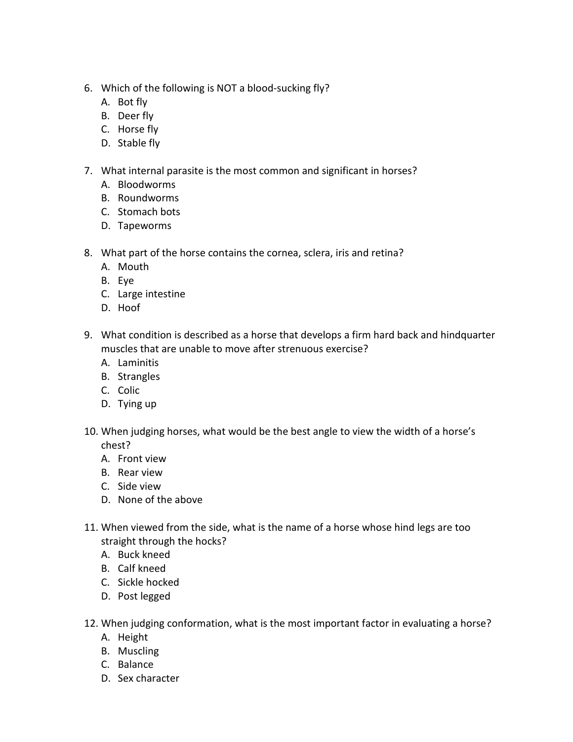- 6. Which of the following is NOT a blood-sucking fly?
	- A. Bot fly
	- B. Deer fly
	- C. Horse fly
	- D. Stable fly
- 7. What internal parasite is the most common and significant in horses?
	- A. Bloodworms
	- B. Roundworms
	- C. Stomach bots
	- D. Tapeworms
- 8. What part of the horse contains the cornea, sclera, iris and retina?
	- A. Mouth
	- B. Eye
	- C. Large intestine
	- D. Hoof
- 9. What condition is described as a horse that develops a firm hard back and hindquarter muscles that are unable to move after strenuous exercise?
	- A. Laminitis
	- B. Strangles
	- C. Colic
	- D. Tying up
- 10. When judging horses, what would be the best angle to view the width of a horse's chest?
	- A. Front view
	- B. Rear view
	- C. Side view
	- D. None of the above
- 11. When viewed from the side, what is the name of a horse whose hind legs are too straight through the hocks?
	- A. Buck kneed
	- B. Calf kneed
	- C. Sickle hocked
	- D. Post legged
- 12. When judging conformation, what is the most important factor in evaluating a horse?
	- A. Height
	- B. Muscling
	- C. Balance
	- D. Sex character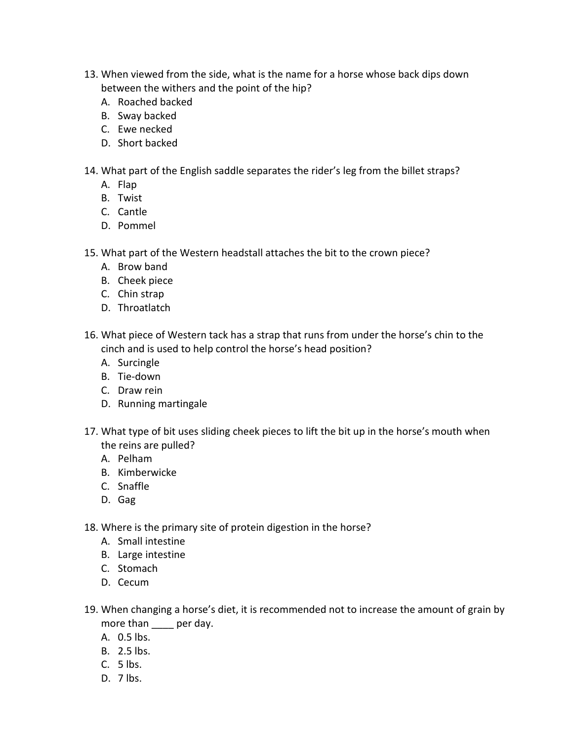- 13. When viewed from the side, what is the name for a horse whose back dips down between the withers and the point of the hip?
	- A. Roached backed
	- B. Sway backed
	- C. Ewe necked
	- D. Short backed
- 14. What part of the English saddle separates the rider's leg from the billet straps?
	- A. Flap
	- B. Twist
	- C. Cantle
	- D. Pommel
- 15. What part of the Western headstall attaches the bit to the crown piece?
	- A. Brow band
	- B. Cheek piece
	- C. Chin strap
	- D. Throatlatch
- 16. What piece of Western tack has a strap that runs from under the horse's chin to the cinch and is used to help control the horse's head position?
	- A. Surcingle
	- B. Tie-down
	- C. Draw rein
	- D. Running martingale
- 17. What type of bit uses sliding cheek pieces to lift the bit up in the horse's mouth when the reins are pulled?
	- A. Pelham
	- B. Kimberwicke
	- C. Snaffle
	- D. Gag
- 18. Where is the primary site of protein digestion in the horse?
	- A. Small intestine
	- B. Large intestine
	- C. Stomach
	- D. Cecum
- 19. When changing a horse's diet, it is recommended not to increase the amount of grain by more than **per day**.
	- A. 0.5 lbs.
	- B. 2.5 lbs.
	- C. 5 lbs.
	- D. 7 lbs.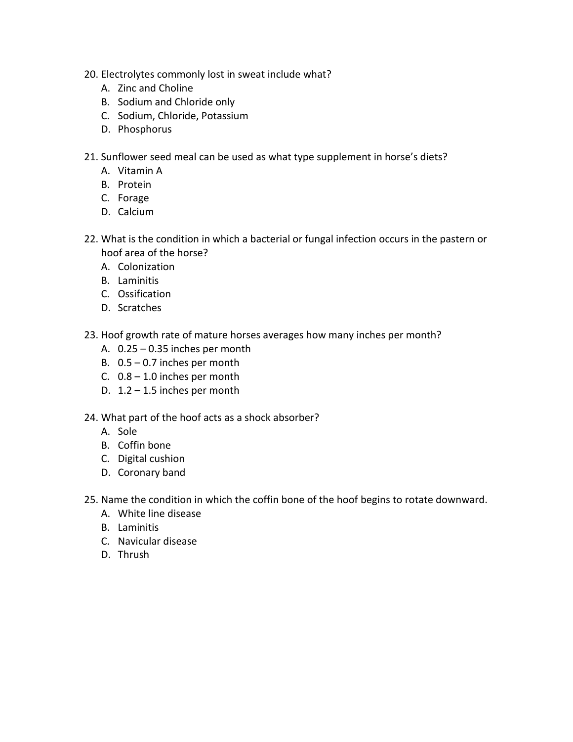- 20. Electrolytes commonly lost in sweat include what?
	- A. Zinc and Choline
	- B. Sodium and Chloride only
	- C. Sodium, Chloride, Potassium
	- D. Phosphorus
- 21. Sunflower seed meal can be used as what type supplement in horse's diets?
	- A. Vitamin A
	- B. Protein
	- C. Forage
	- D. Calcium
- 22. What is the condition in which a bacterial or fungal infection occurs in the pastern or hoof area of the horse?
	- A. Colonization
	- B. Laminitis
	- C. Ossification
	- D. Scratches
- 23. Hoof growth rate of mature horses averages how many inches per month?
	- A.  $0.25 0.35$  inches per month
	- B. 0.5 0.7 inches per month
	- C.  $0.8 1.0$  inches per month
	- D.  $1.2 1.5$  inches per month
- 24. What part of the hoof acts as a shock absorber?
	- A. Sole
	- B. Coffin bone
	- C. Digital cushion
	- D. Coronary band
- 25. Name the condition in which the coffin bone of the hoof begins to rotate downward.
	- A. White line disease
	- B. Laminitis
	- C. Navicular disease
	- D. Thrush